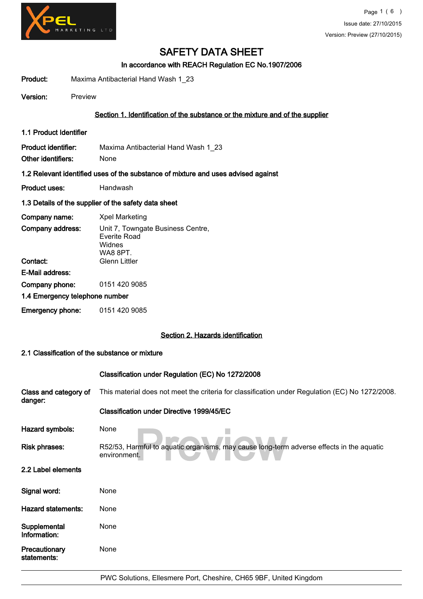

In accordance with REACH Regulation EC No.1907/2006

Product: Maxima Antibacterial Hand Wash 1\_23

Version: Preview

## Section 1. Identification of the substance or the mixture and of the supplier

1.1 Product Identifier

Product identifier: Maxima Antibacterial Hand Wash 1\_23 Other identifiers: None

#### 1.2 Relevant identified uses of the substance of mixture and uses advised against

Product uses: Handwash

#### 1.3 Details of the supplier of the safety data sheet

| Company name:                  | <b>Xpel Marketing</b>                                                          |  |
|--------------------------------|--------------------------------------------------------------------------------|--|
| Company address:               | Unit 7, Towngate Business Centre,<br>Everite Road<br>Widnes<br><b>WA8 8PT.</b> |  |
| Contact:                       | <b>Glenn Littler</b>                                                           |  |
| E-Mail address:                |                                                                                |  |
| Company phone:                 | 0151 420 9085                                                                  |  |
| 1.4 Emergency telephone number |                                                                                |  |
|                                |                                                                                |  |

Emergency phone: 0151 420 9085

#### Section 2. Hazards identification

### 2.1 Classification of the substance or mixture

|                                  | Classification under Regulation (EC) No 1272/2008                                                        |
|----------------------------------|----------------------------------------------------------------------------------------------------------|
| Class and category of<br>danger: | This material does not meet the criteria for classification under Regulation (EC) No 1272/2008.          |
|                                  | Classification under Directive 1999/45/EC                                                                |
| Hazard symbols:                  | None                                                                                                     |
| <b>Risk phrases:</b>             | R52/53, Harmful to aquatic organisms, may cause long-term adverse effects in the aquatic<br>environment. |
| 2.2 Label elements               |                                                                                                          |
| Signal word:                     | None                                                                                                     |
| <b>Hazard statements:</b>        | None                                                                                                     |
| Supplemental<br>Information:     | None                                                                                                     |
| Precautionary<br>statements:     | None                                                                                                     |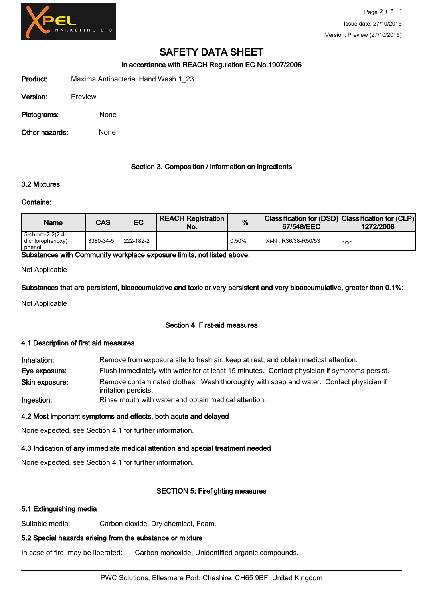

In accordance with REACH Regulation EC No.1907/2006

Product: Maxima Antibacterial Hand Wash 1\_23

| Version: | Preview |
|----------|---------|

Pictograms: None

Other hazards: None

### Section 3. Composition / information on ingredients

# 3.2 Mixtures

#### Contains:

| Name                                            | CAS       | EC        | <b>REACH Registration</b><br>No. | %     | Classification for (DSD) Classification for (CLP)<br>67/548/EEC | 1272/2008 |
|-------------------------------------------------|-----------|-----------|----------------------------------|-------|-----------------------------------------------------------------|-----------|
| 5-chloro-2-2(2,4-<br>dichlorophenoxy)<br>phenol | 3380-34-5 | 222-182-2 |                                  | 0.50% | Xi-N : R36/38-R50/53                                            | -5-5-     |

Substances with Community workplace exposure limits, not listed above:

Not Applicable

Substances that are persistent, bioaccumulative and toxic or very persistent and very bioaccumulative, greater than 0.1%:

Not Applicable

# Section 4. First-aid measures

#### 4.1 Description of first aid measures

Inhalation: Remove from exposure site to fresh air, keep at rest, and obtain medical attention. Eye exposure: Flush immediately with water for at least 15 minutes. Contact physician if symptoms persist. Remove contaminated clothes. Wash thoroughly with soap and water. Contact physician if irritation persists. Skin exposure: Ingestion: Rinse mouth with water and obtain medical attention.

#### 4.2 Most important symptoms and effects, both acute and delayed

None expected, see Section 4.1 for further information.

# 4.3 Indication of any immediate medical attention and special treatment needed

None expected, see Section 4.1 for further information.

# SECTION 5: Firefighting measures

# 5.1 Extinguishing media

Suitable media: Carbon dioxide, Dry chemical, Foam.

# 5.2 Special hazards arising from the substance or mixture

In case of fire, may be liberated: Carbon monoxide, Unidentified organic compounds.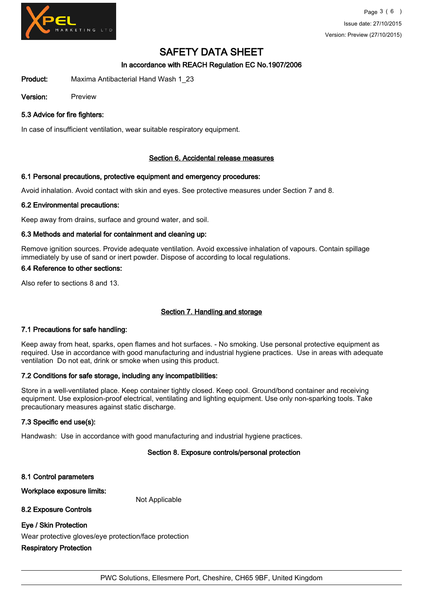

# In accordance with REACH Regulation EC No.1907/2006

Product: Maxima Antibacterial Hand Wash 1\_23

Version: Preview

### 5.3 Advice for fire fighters:

In case of insufficient ventilation, wear suitable respiratory equipment.

#### Section 6. Accidental release measures

#### 6.1 Personal precautions, protective equipment and emergency procedures:

Avoid inhalation. Avoid contact with skin and eyes. See protective measures under Section 7 and 8.

#### 6.2 Environmental precautions:

Keep away from drains, surface and ground water, and soil.

### 6.3 Methods and material for containment and cleaning up:

Remove ignition sources. Provide adequate ventilation. Avoid excessive inhalation of vapours. Contain spillage immediately by use of sand or inert powder. Dispose of according to local regulations.

#### 6.4 Reference to other sections:

Also refer to sections 8 and 13.

# Section 7. Handling and storage

#### 7.1 Precautions for safe handling:

Keep away from heat, sparks, open flames and hot surfaces. - No smoking. Use personal protective equipment as required. Use in accordance with good manufacturing and industrial hygiene practices. Use in areas with adequate ventilation Do not eat, drink or smoke when using this product.

#### 7.2 Conditions for safe storage, including any incompatibilities:

Store in a well-ventilated place. Keep container tightly closed. Keep cool. Ground/bond container and receiving equipment. Use explosion-proof electrical, ventilating and lighting equipment. Use only non-sparking tools. Take precautionary measures against static discharge.

#### 7.3 Specific end use(s):

Handwash: Use in accordance with good manufacturing and industrial hygiene practices. good manufacturing and industrial hygiene practices<br>Section 8. Exposure controls/personal protection

8.1 Control parameters Workplace exposure limits: Not Applicable 8.2 Exposure Controls Eye / Skin Protection Wear protective gloves/eye protection/face protection Respiratory Protection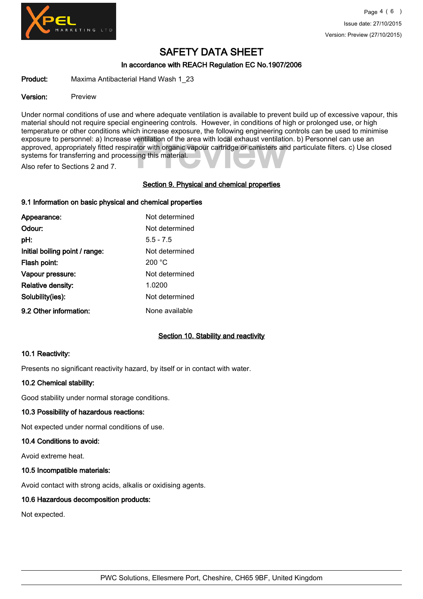

## In accordance with REACH Regulation EC No.1907/2006

Product: Maxima Antibacterial Hand Wash 1\_23

#### Version: Preview

exposure to personnel: a) Increase ventilation of the area with local exhaust ventilation. b) Personnel can use an approved, appropriately fitted respirator with organic vapour cartridge or canisters and particulate filter Under normal conditions of use and where adequate ventilation is available to prevent build up of excessive vapour, this material should not require special engineering controls. However, in conditions of high or prolonged use, or high temperature or other conditions which increase exposure, the following engineering controls can be used to minimise approved, appropriately fitted respirator with organic vapour cartridge or canisters and particulate filters. c) Use closed systems for transferring and processing this material.

Also refer to Sections 2 and 7.

### Section 9. Physical and chemical properties

### 9.1 Information on basic physical and chemical properties

| Appearance:                    | Not determined |
|--------------------------------|----------------|
| Odour:                         | Not determined |
| pH:                            | $5.5 - 7.5$    |
| Initial boiling point / range: | Not determined |
| Flash point:                   | 200 °C         |
| Vapour pressure:               | Not determined |
| <b>Relative density:</b>       | 1.0200         |
| Solubility(ies):               | Not determined |
| 9.2 Other information:         | None available |

# Section 10. Stability and reactivity

#### 10.1 Reactivity:

Presents no significant reactivity hazard, by itself or in contact with water.

#### 10.2 Chemical stability:

Good stability under normal storage conditions.

#### 10.3 Possibility of hazardous reactions:

Not expected under normal conditions of use.

#### 10.4 Conditions to avoid:

Avoid extreme heat.

#### 10.5 Incompatible materials:

Avoid contact with strong acids, alkalis or oxidising agents.

#### 10.6 Hazardous decomposition products:

Not expected.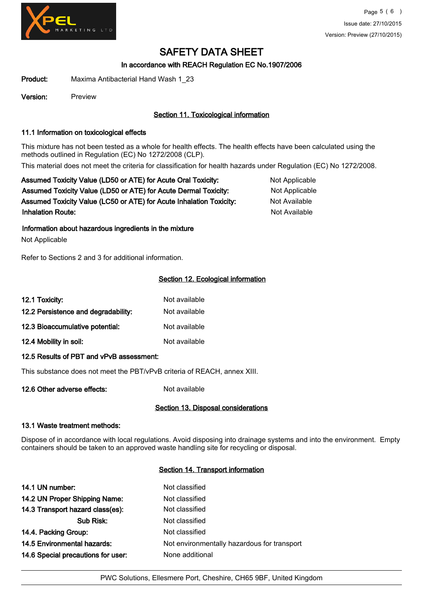

In accordance with REACH Regulation EC No.1907/2006

Product: Maxima Antibacterial Hand Wash 1\_23

Version: Preview

# Section 11. Toxicological information

# 11.1 Information on toxicological effects

This mixture has not been tested as a whole for health effects. The health effects have been calculated using the methods outlined in Regulation (EC) No 1272/2008 (CLP). This material does not meet the criteria for classification for health hazards under Regulation (EC) No 1272/2008.

Assumed Toxicity Value (LD50 or ATE) for Acute Oral Toxicity: Not Applicable Assumed Toxicity Value (LD50 or ATE) for Acute Dermal Toxicity: Not Applicable Assumed Toxicity Value (LC50 or ATE) for Acute Inhalation Toxicity: Not Available **Inhalation Route:** Not Available in the United States of Available in the United States of Available in the United States of Available in the United States of Available in the United States of Available in the United Stat

Information about hazardous ingredients in the mixture

Not Applicable

Refer to Sections 2 and 3 for additional information.

# Section 12. Ecological information

| 12.1 Toxicity:                      | Not available |
|-------------------------------------|---------------|
| 12.2 Persistence and degradability: | Not available |
| 12.3 Bioaccumulative potential:     | Not available |
| 12.4 Mobility in soil:              | Not available |

# 12.5 Results of PBT and vPvB assessment:

This substance does not meet the PBT/vPvB criteria of REACH, annex XIII.

12.6 Other adverse effects: Not available

# Section 13. Disposal considerations

#### 13.1 Waste treatment methods:

Dispose of in accordance with local regulations. Avoid disposing into drainage systems and into the environment. Empty containers should be taken to an approved waste handling site for recycling or disposal.

#### Section 14. Transport information

| 14.1 UN number:                    | Not classified                              |
|------------------------------------|---------------------------------------------|
| 14.2 UN Proper Shipping Name:      | Not classified                              |
| 14.3 Transport hazard class(es):   | Not classified                              |
| Sub Risk:                          | Not classified                              |
| 14.4. Packing Group:               | Not classified                              |
| 14.5 Environmental hazards:        | Not environmentally hazardous for transport |
| 14.6 Special precautions for user: | None additional                             |